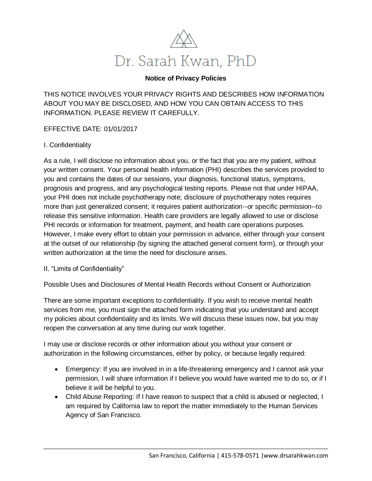

## **Notice of Privacy Policies**

THIS NOTICE INVOLVES YOUR PRIVACY RIGHTS AND DESCRIBES HOW INFORMATION ABOUT YOU MAY BE DISCLOSED, AND HOW YOU CAN OBTAIN ACCESS TO THIS INFORMATION. PLEASE REVIEW IT CAREFULLY.

EFFECTIVE DATE: 01/01/2017

## I. Confidentiality

As a rule, I will disclose no information about you, or the fact that you are my patient, without your written consent. Your personal health information (PHI) describes the services provided to you and contains the dates of our sessions, your diagnosis, functional status, symptoms, prognosis and progress, and any psychological testing reports. Please not that under HIPAA, your PHI does not include psychotherapy note; disclosure of psychotherapy notes requires more than just generalized consent; it requires patient authorization--or specific permission--to release this sensitive information. Health care providers are legally allowed to use or disclose PHI records or information for treatment, payment, and health care operations purposes. However, I make every effort to obtain your permission in advance, either through your consent at the outset of our relationship (by signing the attached general consent form), or through your written authorization at the time the need for disclosure arises.

## II. "Limits of Confidentiality"

Possible Uses and Disclosures of Mental Health Records without Consent or Authorization

There are some important exceptions to confidentiality. If you wish to receive mental health services from me, you must sign the attached form indicating that you understand and accept my policies about confidentiality and its limits. We will discuss these issues now, but you may reopen the conversation at any time during our work together.

I may use or disclose records or other information about you without your consent or authorization in the following circumstances, either by policy, or because legally required:

- Emergency: If you are involved in in a life-threatening emergency and I cannot ask your permission, I will share information if I believe you would have wanted me to do so, or if I believe it will be helpful to you.
- Child Abuse Reporting: If I have reason to suspect that a child is abused or neglected, I am required by California law to report the matter immediately to the Human Services Agency of San Francisco.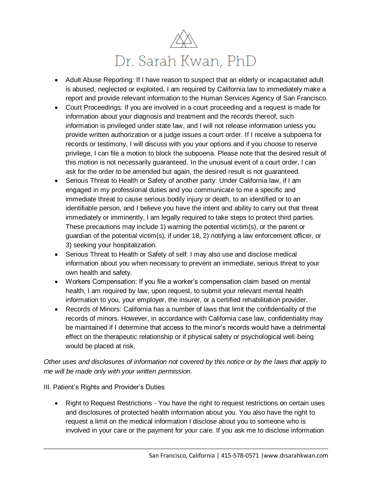

- Adult Abuse Reporting: If I have reason to suspect that an elderly or incapacitated adult is abused, neglected or exploited, I am required by California law to immediately make a report and provide relevant information to the Human Services Agency of San Francisco.
- Court Proceedings: If you are involved in a court proceeding and a request is made for information about your diagnosis and treatment and the records thereof, such information is privileged under state law, and I will not release information unless you provide written authorization or a judge issues a court order. If I receive a subpoena for records or testimony, I will discuss with you your options and if you choose to reserve privilege, I can file a motion to block the subpoena. Please note that the desired result of this motion is not necessarily guaranteed. In the unusual event of a court order, I can ask for the order to be amended but again, the desired result is not guaranteed.
- Serious Threat to Health or Safety of another party: Under California law, if I am engaged in my professional duties and you communicate to me a specific and immediate threat to cause serious bodily injury or death, to an identified or to an identifiable person, and I believe you have the intent and ability to carry out that threat immediately or imminently, I am legally required to take steps to protect third parties. These precautions may include 1) warning the potential victim(s), or the parent or guardian of the potential victim(s), if under 18, 2) notifying a law enforcement officer, or 3) seeking your hospitalization.
- Serious Threat to Health or Safety of self: I may also use and disclose medical information about you when necessary to prevent an immediate, serious threat to your own health and safety.
- Workers Compensation: If you file a worker's compensation claim based on mental health, I am required by law, upon request, to submit your relevant mental health information to you, your employer, the insurer, or a certified rehabilitation provider.
- Records of Minors: California has a number of laws that limit the confidentiality of the records of minors. However, in accordance with California case law, confidentiality may be maintained if I determine that access to the minor's records would have a detrimental effect on the therapeutic relationship or if physical safety or psychological well-being would be placed at risk.

*Other uses and disclosures of information not covered by this notice or by the laws that apply to me will be made only with your written permission.* 

- III. Patient's Rights and Provider's Duties
	- Right to Request Restrictions You have the right to request restrictions on certain uses and disclosures of protected health information about you. You also have the right to request a limit on the medical information I disclose about you to someone who is involved in your care or the payment for your care. If you ask me to disclose information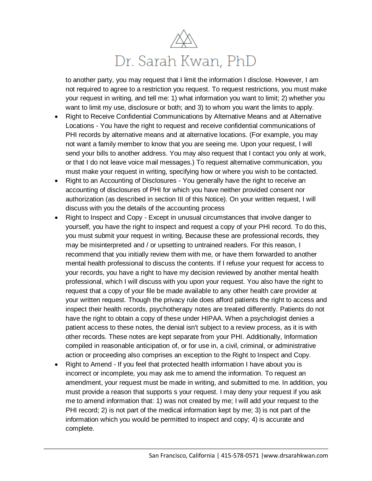

to another party, you may request that I limit the information I disclose. However, I am not required to agree to a restriction you request. To request restrictions, you must make your request in writing, and tell me: 1) what information you want to limit; 2) whether you want to limit my use, disclosure or both; and 3) to whom you want the limits to apply.

- Right to Receive Confidential Communications by Alternative Means and at Alternative Locations - You have the right to request and receive confidential communications of PHI records by alternative means and at alternative locations. (For example, you may not want a family member to know that you are seeing me. Upon your request, I will send your bills to another address. You may also request that I contact you only at work, or that I do not leave voice mail messages.) To request alternative communication, you must make your request in writing, specifying how or where you wish to be contacted.
- Right to an Accounting of Disclosures You generally have the right to receive an accounting of disclosures of PHI for which you have neither provided consent nor authorization (as described in section III of this Notice). On your written request, I will discuss with you the details of the accounting process
- Right to Inspect and Copy Except in unusual circumstances that involve danger to yourself, you have the right to inspect and request a copy of your PHI record. To do this, you must submit your request in writing. Because these are professional records, they may be misinterpreted and / or upsetting to untrained readers. For this reason, I recommend that you initially review them with me, or have them forwarded to another mental health professional to discuss the contents. If I refuse your request for access to your records, you have a right to have my decision reviewed by another mental health professional, which I will discuss with you upon your request. You also have the right to request that a copy of your file be made available to any other health care provider at your written request. Though the privacy rule does afford patients the right to access and inspect their health records, psychotherapy notes are treated differently. Patients do not have the right to obtain a copy of these under HIPAA. When a psychologist denies a patient access to these notes, the denial isn't subject to a review process, as it is with other records. These notes are kept separate from your PHI. Additionally, Information compiled in reasonable anticipation of, or for use in, a civil, criminal, or administrative action or proceeding also comprises an exception to the Right to Inspect and Copy.
- Right to Amend If you feel that protected health information I have about you is incorrect or incomplete, you may ask me to amend the information. To request an amendment, your request must be made in writing, and submitted to me. In addition, you must provide a reason that supports s your request. I may deny your request if you ask me to amend information that: 1) was not created by me; I will add your request to the PHI record; 2) is not part of the medical information kept by me; 3) is not part of the information which you would be permitted to inspect and copy; 4) is accurate and complete.